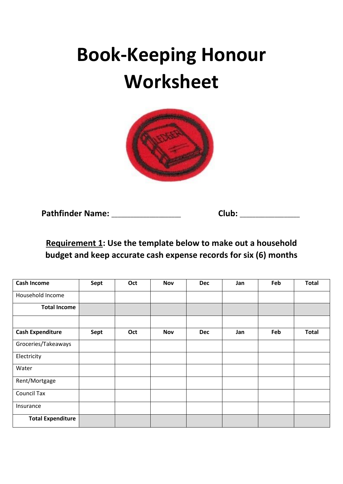# **Book-Keeping Honour Worksheet**



**Pathfinder Name:** \_\_\_\_\_\_\_\_\_\_\_\_\_\_\_\_\_\_\_\_\_\_ **Club:** \_\_\_\_\_\_\_\_\_\_\_\_\_\_\_\_\_\_\_

**Requirement 1: Use the template below to make out a household budget and keep accurate cash expense records for six (6) months**

| <b>Cash Income</b>       | Sept | Oct | <b>Nov</b> | <b>Dec</b> | Jan | Feb | <b>Total</b> |
|--------------------------|------|-----|------------|------------|-----|-----|--------------|
| Household Income         |      |     |            |            |     |     |              |
| <b>Total Income</b>      |      |     |            |            |     |     |              |
| <b>Cash Expenditure</b>  | Sept | Oct | <b>Nov</b> | <b>Dec</b> | Jan | Feb | <b>Total</b> |
| Groceries/Takeaways      |      |     |            |            |     |     |              |
| Electricity              |      |     |            |            |     |     |              |
| Water                    |      |     |            |            |     |     |              |
| Rent/Mortgage            |      |     |            |            |     |     |              |
| <b>Council Tax</b>       |      |     |            |            |     |     |              |
| Insurance                |      |     |            |            |     |     |              |
| <b>Total Expenditure</b> |      |     |            |            |     |     |              |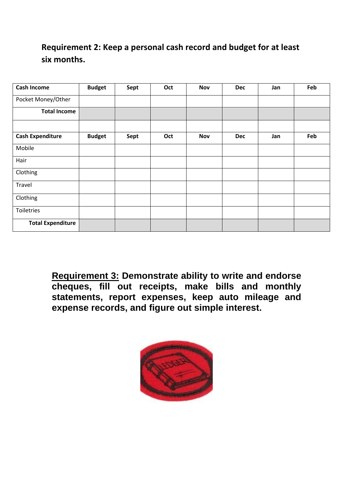### **Requirement 2: Keep a personal cash record and budget for at least six months.**

| <b>Cash Income</b>       | <b>Budget</b> | Sept | Oct | <b>Nov</b> | <b>Dec</b> | Jan | Feb |
|--------------------------|---------------|------|-----|------------|------------|-----|-----|
| Pocket Money/Other       |               |      |     |            |            |     |     |
| <b>Total Income</b>      |               |      |     |            |            |     |     |
| <b>Cash Expenditure</b>  | <b>Budget</b> | Sept | Oct | <b>Nov</b> | <b>Dec</b> | Jan | Feb |
| Mobile                   |               |      |     |            |            |     |     |
| Hair                     |               |      |     |            |            |     |     |
| Clothing                 |               |      |     |            |            |     |     |
| Travel                   |               |      |     |            |            |     |     |
| Clothing                 |               |      |     |            |            |     |     |
| Toiletries               |               |      |     |            |            |     |     |
| <b>Total Expenditure</b> |               |      |     |            |            |     |     |

**Requirement 3: Demonstrate ability to write and endorse cheques, fill out receipts, make bills and monthly statements, report expenses, keep auto mileage and expense records, and figure out simple interest.**

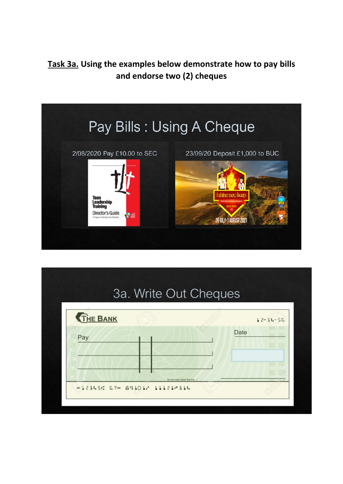### **Task 3a. Using the examples below demonstrate how to pay bills and endorse two (2) cheques**



| <b>THE BANK</b> |  | $12 - 34 - 56$ |
|-----------------|--|----------------|
| Pay             |  | Date           |
|                 |  |                |
|                 |  |                |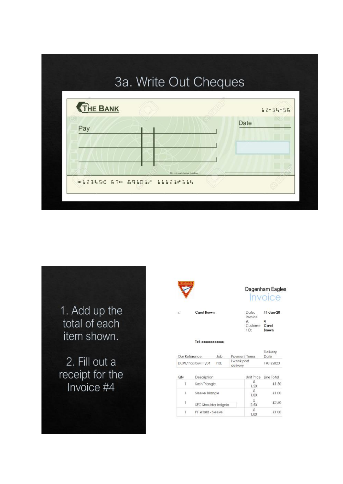

1. Add up the total of each item shown.

2. Fill out a receipt for the<br>Invoice #4



Dagenham Eagles Invoice

Date:  $11 - Jan-20$ Invoice  $#:$ <br>Custome **Carol**  $r$ ID: Brown

Tel: xxxxxxxxxxxx

| Our Reference      | 10 <sub>b</sub> | Payment Terms           | Delivery<br>Date |
|--------------------|-----------------|-------------------------|------------------|
| DCW/Plaistow PF/04 | PBE             | I week post<br>delivery | 1/01/2020        |

| Qtv | Description           | Unit Price | Line Total |
|-----|-----------------------|------------|------------|
|     | Sash Triangle         | 1.50       | £1,50      |
| Ţ.  | Sleeve Triangle       | 1,00       | £1.00      |
| 1   | SEC Shoulder Insignia | £<br>2.50  | £2.50      |
|     | PF World - Sleeve     | £<br>1.00  | £1.00      |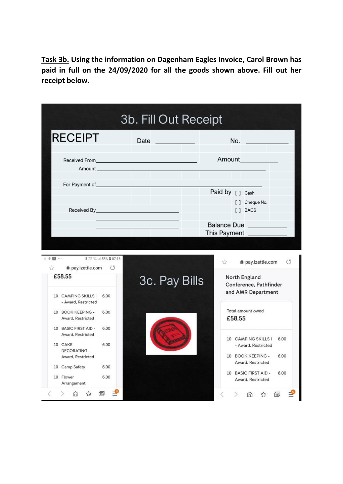**Task 3b. Using the information on Dagenham Eagles Invoice, Carol Brown has paid in full on the 24/09/2020 for all the goods shown above. Fill out her receipt below.**

| 4回…<br>登<br>£58.55       | <b>RECEIPT</b><br>@ pay.izettle.com                           | Amount <b>Amount</b><br><b>* 注 : 4 58% @ 07:16</b><br>$\circ$ | Date | <u> Tanzania (</u> | This Payment | No.<br>Amount____________<br>Paid by [ ] Cash<br>[ ] Cheque No.<br>[ ] BACS<br><b>Balance Due</b> |                     |         |
|--------------------------|---------------------------------------------------------------|---------------------------------------------------------------|------|--------------------|--------------|---------------------------------------------------------------------------------------------------|---------------------|---------|
|                          |                                                               |                                                               |      |                    |              |                                                                                                   |                     |         |
|                          |                                                               |                                                               |      |                    |              |                                                                                                   |                     |         |
|                          |                                                               |                                                               |      |                    |              |                                                                                                   |                     |         |
|                          |                                                               |                                                               |      |                    |              |                                                                                                   |                     |         |
|                          |                                                               |                                                               |      |                    |              |                                                                                                   |                     |         |
|                          |                                                               |                                                               |      |                    |              |                                                                                                   |                     |         |
|                          | 10 CAMPING SKILLS I                                           | 6.00                                                          |      | 3c. Pay Bills      | 57           | North England<br>Conference, Pathfinder<br>and AMR Department                                     | a pay.izettle.com   | $\circ$ |
|                          | - Award, Restricted<br>10 BOOK KEEPING -<br>Award, Restricted | 6.00                                                          |      |                    |              | Total amount owed<br>£58.55                                                                       |                     |         |
|                          | 10 BASIC FIRST AID -<br>Award, Restricted                     | 6.00                                                          |      |                    |              | 10 CAMPING SKILLS I                                                                               |                     | 6.00    |
| 10 CAKE                  | <b>DECORATING -</b><br>Award, Restricted                      | 6.00                                                          |      |                    |              | 10 BOOK KEEPING -                                                                                 | - Award, Restricted | 6.00    |
|                          | 10 Camp Safety                                                | 6.00                                                          |      |                    |              | Award, Restricted<br>10 BASIC FIRST AID -                                                         |                     | 6.00    |
| 10 Flower<br>Arrangement |                                                               | 6.00                                                          |      |                    |              | Award, Restricted                                                                                 |                     |         |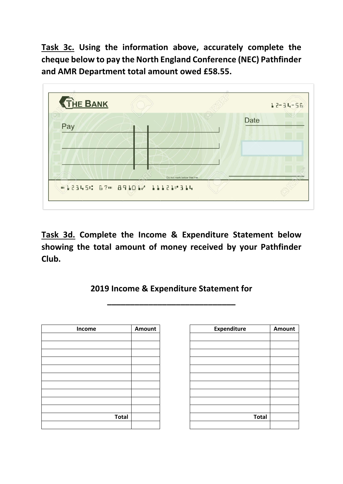**Task 3c. Using the information above, accurately complete the cheque below to pay the North England Conference (NEC) Pathfinder and AMR Department total amount owed £58.55.**



**Task 3d. Complete the Income & Expenditure Statement below showing the total amount of money received by your Pathfinder Club.**

#### **2019 Income & Expenditure Statement for**

**\_\_\_\_\_\_\_\_\_\_\_\_\_\_\_\_\_\_\_\_\_\_\_\_\_\_\_\_** 

| Income       | Amount |
|--------------|--------|
|              |        |
|              |        |
|              |        |
|              |        |
|              |        |
|              |        |
|              |        |
|              |        |
|              |        |
|              |        |
| <b>Total</b> |        |
|              |        |

| Income       | Amount | <b>Expenditure</b> | Amount |
|--------------|--------|--------------------|--------|
|              |        |                    |        |
|              |        |                    |        |
|              |        |                    |        |
|              |        |                    |        |
|              |        |                    |        |
|              |        |                    |        |
|              |        |                    |        |
|              |        |                    |        |
|              |        |                    |        |
|              |        |                    |        |
| <b>Total</b> |        | <b>Total</b>       |        |
|              |        |                    |        |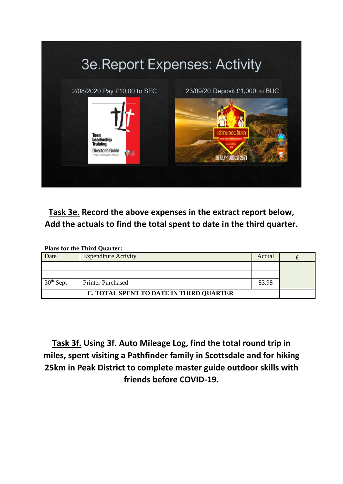

**Task 3e. Record the above expenses in the extract report below, Add the actuals to find the total spent to date in the third quarter.**

| <b>Plans for the Third Quarter:</b>     |                             |        |  |  |  |  |
|-----------------------------------------|-----------------------------|--------|--|--|--|--|
| Date                                    | <b>Expenditure Activity</b> | Actual |  |  |  |  |
|                                         |                             |        |  |  |  |  |
|                                         |                             |        |  |  |  |  |
| $30th$ Sept                             | <b>Printer Purchased</b>    | 83.98  |  |  |  |  |
| C. TOTAL SPENT TO DATE IN THIRD QUARTER |                             |        |  |  |  |  |

**Task 3f. Using 3f. Auto Mileage Log, find the total round trip in miles, spent visiting a Pathfinder family in Scottsdale and for hiking 25km in Peak District to complete master guide outdoor skills with friends before COVID-19.**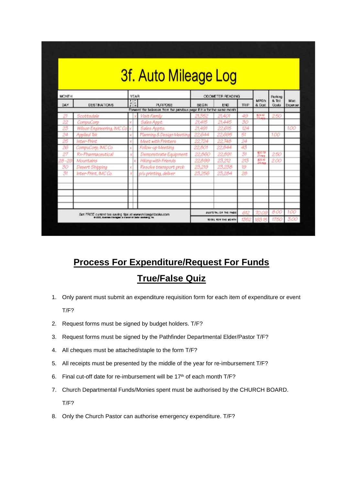| <b>MCNTH</b><br>DAY | <b>DESTINATIONS</b>                                               | YEAR<br>$\frac{1}{2}$ = | <b>PURPOSE</b>                                                          | <b>BEGIN</b> | <b>ODOMETER READING</b><br>END | <b>TRIP</b> | <b>MPGM</b><br>& Dost | <b>Flanking</b><br><b>&amp; Toll</b><br>Costa | Mist.<br>Expanse |
|---------------------|-------------------------------------------------------------------|-------------------------|-------------------------------------------------------------------------|--------------|--------------------------------|-------------|-----------------------|-----------------------------------------------|------------------|
|                     |                                                                   |                         | Forward the balances from the provious page if it is for the same month |              |                                |             |                       |                                               |                  |
| 21                  | Scottsdale                                                        |                         | Visit Family                                                            | 21,352       | 21,401                         | 49          | \$24.85               | 250                                           |                  |
| 22                  | CompuCorp                                                         |                         | Sales Appt.                                                             | 21,415       | 21.445                         | 30          |                       |                                               |                  |
| 23                  | Wilson Engineering, IMC Co                                        |                         | Sales Appts.                                                            | 21,491       | 22.615                         | 124         |                       |                                               | 1.00             |
| 24                  | Applied Tek                                                       |                         | Planning & Design Meeting                                               | 22.644       | 22.695                         | 51          |                       | 100                                           |                  |
| 25                  | Inter-Print                                                       |                         | Meet with Printers                                                      | 22724        | 22,748                         | 24          |                       |                                               |                  |
| 26                  | CompuCorp, IMC Co.                                                |                         | Follow-up Meeting                                                       | 22.801       | 22.844                         | 43          |                       |                                               |                  |
| 27                  | Rx-Pharmaceutical                                                 |                         | Demonstrate Equipment                                                   | 22.860       | 22,891                         | 31          | LO N<br>21mma         | 250                                           |                  |
| $28 - 29$           | Mountains                                                         |                         | Hiking with Friends                                                     | 22B99        | 23,212                         | 213         | 松原形<br>24 mm          | 200                                           |                  |
| 30                  | Desert Shipping                                                   |                         | Resolve transport prob.                                                 | 23,219       | 23,238                         | 19          |                       |                                               |                  |
| 31                  | Inter-Print, IMCCo.                                               |                         | p/u printina, deliver                                                   | 23.256       | 23,284                         | 28          |                       |                                               |                  |
|                     |                                                                   |                         |                                                                         |              |                                |             |                       |                                               |                  |
|                     |                                                                   |                         |                                                                         |              |                                |             |                       |                                               |                  |
|                     |                                                                   |                         |                                                                         |              |                                |             |                       |                                               |                  |
|                     | Got FREE current tax saving tips at www.mileagetooks.com          |                         |                                                                         |              | <b>SUSTORL OF THE FAGE</b>     | 612         | 70.09                 | 8.00                                          | 1.00             |
|                     | @ 2000, Australia Stanlages, a characteristication was being. For |                         |                                                                         |              | <b>TOTAL FOR THE MONTH</b>     |             | 1352 163.15           | 1750                                          | 3.00             |

# **Process For Expenditure/Request For Funds**

# **True/False Quiz**

- 1. Only parent must submit an expenditure requisition form for each item of expenditure or event T/F?
- 2. Request forms must be signed by budget holders. T/F?
- 3. Request forms must be signed by the Pathfinder Departmental Elder/Pastor T/F?
- 4. All cheques must be attached/staple to the form T/F?
- 5. All receipts must be presented by the middle of the year for re-imbursement T/F?
- 6. Final cut-off date for re-imbursement will be 17<sup>th</sup> of each month T/F?
- 7. Church Departmental Funds/Monies spent must be authorised by the CHURCH BOARD. T/F?
- 8. Only the Church Pastor can authorise emergency expenditure. T/F?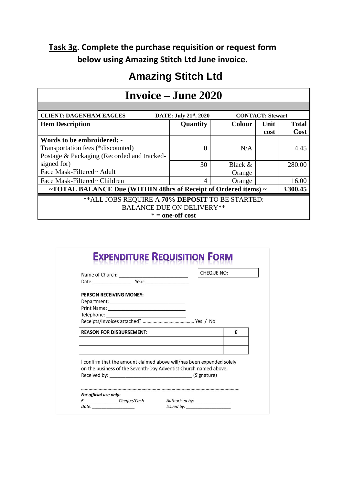### **Task 3g. Complete the purchase requisition or request form below using Amazing Stitch Ltd June invoice.**

## **Amazing Stitch Ltd**

| <b>Invoice – June 2020</b>                                                         |                    |               |      |              |  |  |  |
|------------------------------------------------------------------------------------|--------------------|---------------|------|--------------|--|--|--|
|                                                                                    |                    |               |      |              |  |  |  |
| <b>CLIENT: DAGENHAM EAGLES</b><br>DATE: July 21st, 2020<br><b>CONTACT: Stewart</b> |                    |               |      |              |  |  |  |
| <b>Item Description</b>                                                            | Quantity           | <b>Colour</b> | Unit | <b>Total</b> |  |  |  |
|                                                                                    |                    |               | cost | <b>Cost</b>  |  |  |  |
| Words to be embroidered: -                                                         |                    |               |      |              |  |  |  |
| Transportation fees (*discounted)                                                  | $\Omega$           | N/A           |      | 4.45         |  |  |  |
| Postage & Packaging (Recorded and tracked-                                         |                    |               |      |              |  |  |  |
| signed for)                                                                        | 30                 | Black &       |      | 280.00       |  |  |  |
| Face Mask-Filtered~ Adult                                                          |                    | Orange        |      |              |  |  |  |
| Face Mask-Filtered~ Children                                                       | 4                  | Orange        |      | 16.00        |  |  |  |
| ~TOTAL BALANCE Due (WITHIN 48hrs of Receipt of Ordered items) $\sim$<br>£300.45    |                    |               |      |              |  |  |  |
| ** ALL JOBS REQUIRE A 70% DEPOSIT TO BE STARTED:                                   |                    |               |      |              |  |  |  |
| <b>BALANCE DUE ON DELIVERY**</b>                                                   |                    |               |      |              |  |  |  |
|                                                                                    | $* =$ one-off cost |               |      |              |  |  |  |

|                                                                  | <b>CHEQUE NO:</b>                                                     |
|------------------------------------------------------------------|-----------------------------------------------------------------------|
| PERSON RECEIVING MONEY:                                          |                                                                       |
|                                                                  |                                                                       |
|                                                                  |                                                                       |
|                                                                  |                                                                       |
|                                                                  |                                                                       |
| <b>REASON FOR DISBURSEMENT:</b>                                  | f                                                                     |
| on the business of the Seventh-Day Adventist Church named above. | I confirm that the amount claimed above will/has been expended solely |
|                                                                  |                                                                       |